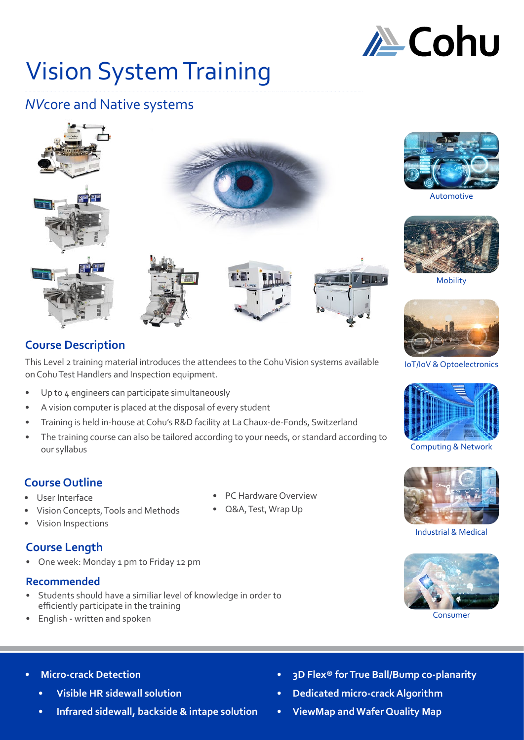

# Vision System Training

# *NV*core and Native systems





This Level 2 training material introduces the attendees to the Cohu Vision systems available on Cohu Test Handlers and Inspection equipment.

- Up to 4 engineers can participate simultaneously
- A vision computer is placed at the disposal of every student
- Training is held in-house at Cohu's R&D facility at La Chaux-de-Fonds, Switzerland
- The training course can also be tailored according to your needs, or standard according to our syllabus

## **Course Outline**

- User Interface
- Vision Concepts, Tools and Methods
- Vision Inspections

# **Course Length**

• One week: Monday 1 pm to Friday 12 pm

## **Recommended**

- Students should have a similiar level of knowledge in order to efficiently participate in the training
- English written and spoken
- 
- Q&A, Test, Wrap Up



Automotive



Mobility



IoT/IoV & Optoelectronics



Computing & Network



Industrial & Medical



### **• Micro-crack Detection**

- **• Visible HR sidewall solution**
- **• Infrared sidewall, backside & intape solution**
- **• 3D Flex® for True Ball/Bump co-planarity**
- **• Dedicated micro-crack Algorithm**
- **• ViewMap and Wafer Quality Map**
- PC Hardware Overview
-